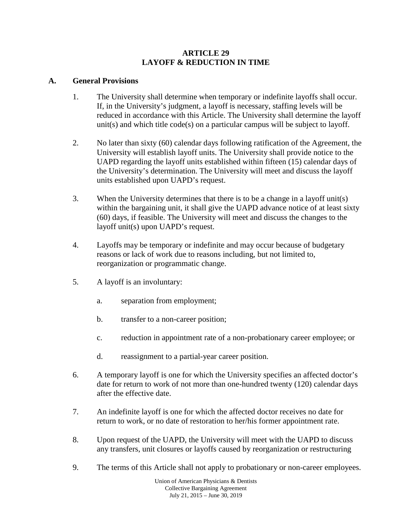#### **ARTICLE 29 LAYOFF & REDUCTION IN TIME**

### **A. General Provisions**

- 1. The University shall determine when temporary or indefinite layoffs shall occur. If, in the University's judgment, a layoff is necessary, staffing levels will be reduced in accordance with this Article. The University shall determine the layoff unit(s) and which title code(s) on a particular campus will be subject to layoff.
- 2. No later than sixty (60) calendar days following ratification of the Agreement, the University will establish layoff units. The University shall provide notice to the UAPD regarding the layoff units established within fifteen (15) calendar days of the University's determination. The University will meet and discuss the layoff units established upon UAPD's request.
- 3. When the University determines that there is to be a change in a layoff unit(s) within the bargaining unit, it shall give the UAPD advance notice of at least sixty (60) days, if feasible. The University will meet and discuss the changes to the layoff unit(s) upon UAPD's request.
- 4. Layoffs may be temporary or indefinite and may occur because of budgetary reasons or lack of work due to reasons including, but not limited to, reorganization or programmatic change.
- 5. A layoff is an involuntary:
	- a. separation from employment;
	- b. transfer to a non-career position;
	- c. reduction in appointment rate of a non-probationary career employee; or
	- d. reassignment to a partial-year career position.
- 6. A temporary layoff is one for which the University specifies an affected doctor's date for return to work of not more than one-hundred twenty (120) calendar days after the effective date.
- 7. An indefinite layoff is one for which the affected doctor receives no date for return to work, or no date of restoration to her/his former appointment rate.
- 8. Upon request of the UAPD, the University will meet with the UAPD to discuss any transfers, unit closures or layoffs caused by reorganization or restructuring
- 9. The terms of this Article shall not apply to probationary or non-career employees.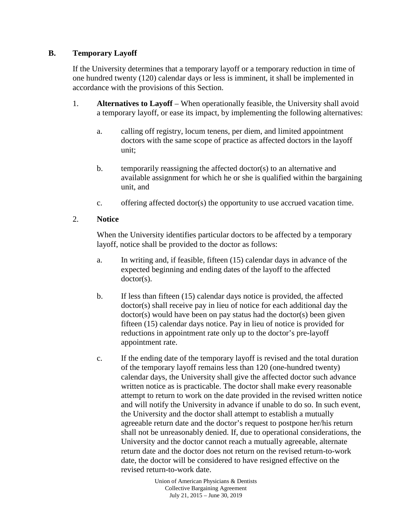## **B. Temporary Layoff**

If the University determines that a temporary layoff or a temporary reduction in time of one hundred twenty (120) calendar days or less is imminent, it shall be implemented in accordance with the provisions of this Section.

- 1. **Alternatives to Layoff**  When operationally feasible, the University shall avoid a temporary layoff, or ease its impact, by implementing the following alternatives:
	- a. calling off registry, locum tenens, per diem, and limited appointment doctors with the same scope of practice as affected doctors in the layoff unit;
	- b. temporarily reassigning the affected doctor(s) to an alternative and available assignment for which he or she is qualified within the bargaining unit, and
	- c. offering affected doctor(s) the opportunity to use accrued vacation time.

### 2. **Notice**

When the University identifies particular doctors to be affected by a temporary layoff, notice shall be provided to the doctor as follows:

- a. In writing and, if feasible, fifteen (15) calendar days in advance of the expected beginning and ending dates of the layoff to the affected doctor(s).
- b. If less than fifteen (15) calendar days notice is provided, the affected doctor(s) shall receive pay in lieu of notice for each additional day the doctor(s) would have been on pay status had the doctor(s) been given fifteen (15) calendar days notice. Pay in lieu of notice is provided for reductions in appointment rate only up to the doctor's pre-layoff appointment rate.
- c. If the ending date of the temporary layoff is revised and the total duration of the temporary layoff remains less than 120 (one-hundred twenty) calendar days, the University shall give the affected doctor such advance written notice as is practicable. The doctor shall make every reasonable attempt to return to work on the date provided in the revised written notice and will notify the University in advance if unable to do so. In such event, the University and the doctor shall attempt to establish a mutually agreeable return date and the doctor's request to postpone her/his return shall not be unreasonably denied. If, due to operational considerations, the University and the doctor cannot reach a mutually agreeable, alternate return date and the doctor does not return on the revised return-to-work date, the doctor will be considered to have resigned effective on the revised return-to-work date.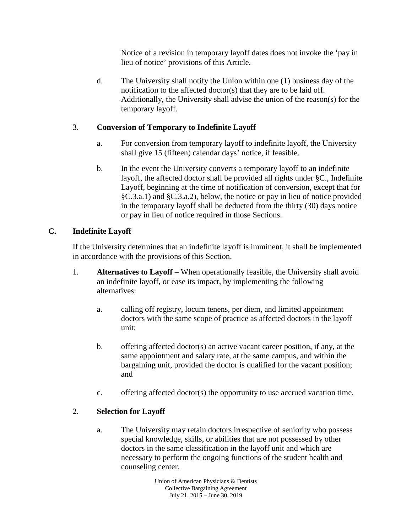Notice of a revision in temporary layoff dates does not invoke the 'pay in lieu of notice' provisions of this Article.

d. The University shall notify the Union within one (1) business day of the notification to the affected doctor(s) that they are to be laid off. Additionally, the University shall advise the union of the reason(s) for the temporary layoff.

## 3. **Conversion of Temporary to Indefinite Layoff**

- a. For conversion from temporary layoff to indefinite layoff, the University shall give 15 (fifteen) calendar days' notice, if feasible.
- b. In the event the University converts a temporary layoff to an indefinite layoff, the affected doctor shall be provided all rights under §C., Indefinite Layoff, beginning at the time of notification of conversion, except that for §C.3.a.1) and §C.3.a.2), below, the notice or pay in lieu of notice provided in the temporary layoff shall be deducted from the thirty (30) days notice or pay in lieu of notice required in those Sections.

# **C. Indefinite Layoff**

If the University determines that an indefinite layoff is imminent, it shall be implemented in accordance with the provisions of this Section.

- 1. **Alternatives to Layoff**  When operationally feasible, the University shall avoid an indefinite layoff, or ease its impact, by implementing the following alternatives:
	- a. calling off registry, locum tenens, per diem, and limited appointment doctors with the same scope of practice as affected doctors in the layoff unit;
	- b. offering affected doctor(s) an active vacant career position, if any, at the same appointment and salary rate, at the same campus, and within the bargaining unit, provided the doctor is qualified for the vacant position; and
	- c. offering affected doctor(s) the opportunity to use accrued vacation time.

# 2. **Selection for Layoff**

a. The University may retain doctors irrespective of seniority who possess special knowledge, skills, or abilities that are not possessed by other doctors in the same classification in the layoff unit and which are necessary to perform the ongoing functions of the student health and counseling center.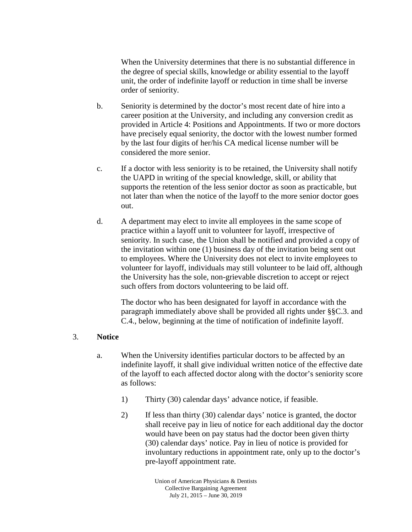When the University determines that there is no substantial difference in the degree of special skills, knowledge or ability essential to the layoff unit, the order of indefinite layoff or reduction in time shall be inverse order of seniority.

- b. Seniority is determined by the doctor's most recent date of hire into a career position at the University, and including any conversion credit as provided in Article 4: Positions and Appointments. If two or more doctors have precisely equal seniority, the doctor with the lowest number formed by the last four digits of her/his CA medical license number will be considered the more senior.
- c. If a doctor with less seniority is to be retained, the University shall notify the UAPD in writing of the special knowledge, skill, or ability that supports the retention of the less senior doctor as soon as practicable, but not later than when the notice of the layoff to the more senior doctor goes out.
- d. A department may elect to invite all employees in the same scope of practice within a layoff unit to volunteer for layoff, irrespective of seniority. In such case, the Union shall be notified and provided a copy of the invitation within one (1) business day of the invitation being sent out to employees. Where the University does not elect to invite employees to volunteer for layoff, individuals may still volunteer to be laid off, although the University has the sole, non-grievable discretion to accept or reject such offers from doctors volunteering to be laid off.

The doctor who has been designated for layoff in accordance with the paragraph immediately above shall be provided all rights under §§C.3. and C.4., below, beginning at the time of notification of indefinite layoff.

#### 3. **Notice**

- a. When the University identifies particular doctors to be affected by an indefinite layoff, it shall give individual written notice of the effective date of the layoff to each affected doctor along with the doctor's seniority score as follows:
	- 1) Thirty (30) calendar days' advance notice, if feasible.
	- 2) If less than thirty (30) calendar days' notice is granted, the doctor shall receive pay in lieu of notice for each additional day the doctor would have been on pay status had the doctor been given thirty (30) calendar days' notice. Pay in lieu of notice is provided for involuntary reductions in appointment rate, only up to the doctor's pre-layoff appointment rate.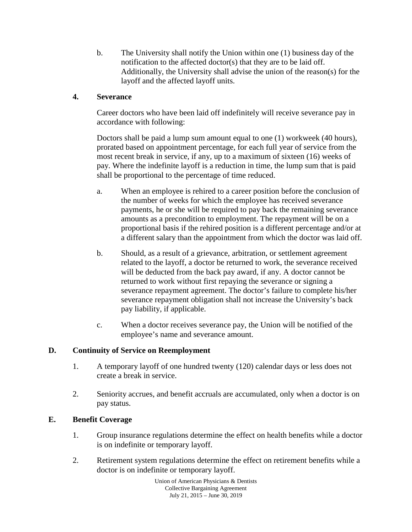b. The University shall notify the Union within one (1) business day of the notification to the affected doctor(s) that they are to be laid off. Additionally, the University shall advise the union of the reason(s) for the layoff and the affected layoff units.

## **4. Severance**

Career doctors who have been laid off indefinitely will receive severance pay in accordance with following:

Doctors shall be paid a lump sum amount equal to one (1) workweek (40 hours), prorated based on appointment percentage, for each full year of service from the most recent break in service, if any, up to a maximum of sixteen (16) weeks of pay. Where the indefinite layoff is a reduction in time, the lump sum that is paid shall be proportional to the percentage of time reduced.

- a. When an employee is rehired to a career position before the conclusion of the number of weeks for which the employee has received severance payments, he or she will be required to pay back the remaining severance amounts as a precondition to employment. The repayment will be on a proportional basis if the rehired position is a different percentage and/or at a different salary than the appointment from which the doctor was laid off.
- b. Should, as a result of a grievance, arbitration, or settlement agreement related to the layoff, a doctor be returned to work, the severance received will be deducted from the back pay award, if any. A doctor cannot be returned to work without first repaying the severance or signing a severance repayment agreement. The doctor's failure to complete his/her severance repayment obligation shall not increase the University's back pay liability, if applicable.
- c. When a doctor receives severance pay, the Union will be notified of the employee's name and severance amount.

### **D. Continuity of Service on Reemployment**

- 1. A temporary layoff of one hundred twenty (120) calendar days or less does not create a break in service.
- 2. Seniority accrues, and benefit accruals are accumulated, only when a doctor is on pay status.

# **E. Benefit Coverage**

- 1. Group insurance regulations determine the effect on health benefits while a doctor is on indefinite or temporary layoff.
- 2. Retirement system regulations determine the effect on retirement benefits while a doctor is on indefinite or temporary layoff.